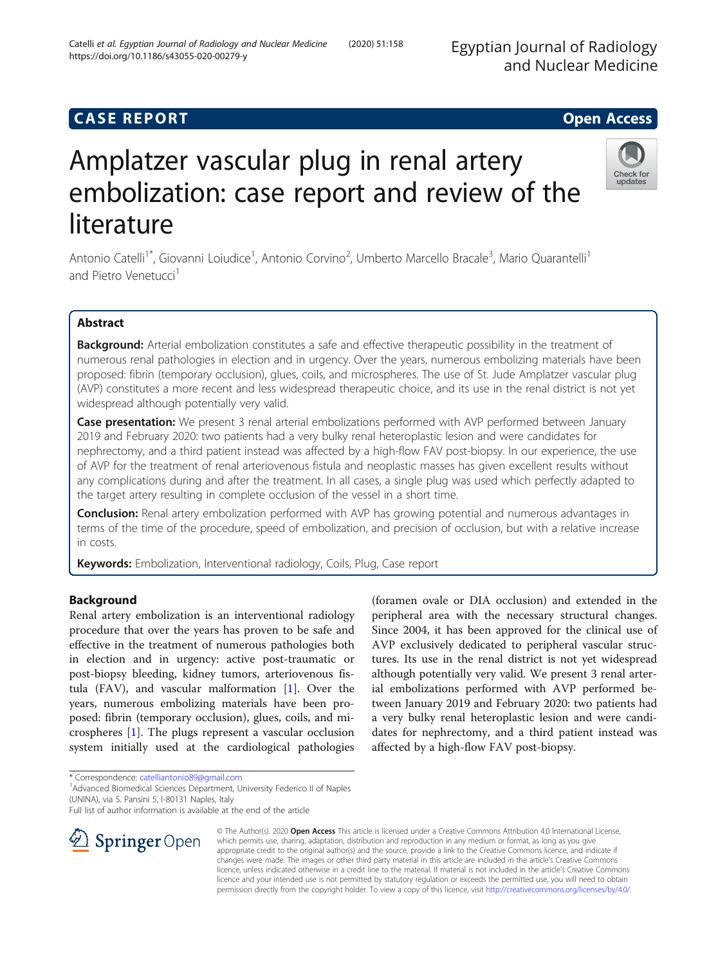# **CASE REPORT CASE REPORT CASE REPORT**

# Amplatzer vascular plug in renal artery embolization: case report and review of the literature

Antonio Catelli<sup>1\*</sup>, Giovanni Loiudice<sup>1</sup>, Antonio Corvino<sup>2</sup>, Umberto Marcello Bracale<sup>3</sup>, Mario Quarantelli<sup>1</sup> and Pietro Venetucci<sup>1</sup>

# Abstract

Background: Arterial embolization constitutes a safe and effective therapeutic possibility in the treatment of numerous renal pathologies in election and in urgency. Over the years, numerous embolizing materials have been proposed: fibrin (temporary occlusion), glues, coils, and microspheres. The use of St. Jude Amplatzer vascular plug (AVP) constitutes a more recent and less widespread therapeutic choice, and its use in the renal district is not yet widespread although potentially very valid.

Case presentation: We present 3 renal arterial embolizations performed with AVP performed between January 2019 and February 2020: two patients had a very bulky renal heteroplastic lesion and were candidates for nephrectomy, and a third patient instead was affected by a high-flow FAV post-biopsy. In our experience, the use of AVP for the treatment of renal arteriovenous fistula and neoplastic masses has given excellent results without any complications during and after the treatment. In all cases, a single plug was used which perfectly adapted to the target artery resulting in complete occlusion of the vessel in a short time.

**Conclusion:** Renal artery embolization performed with AVP has growing potential and numerous advantages in terms of the time of the procedure, speed of embolization, and precision of occlusion, but with a relative increase in costs.

Keywords: Embolization, Interventional radiology, Coils, Plug, Case report

# Background

Renal artery embolization is an interventional radiology procedure that over the years has proven to be safe and effective in the treatment of numerous pathologies both in election and in urgency: active post-traumatic or post-biopsy bleeding, kidney tumors, arteriovenous fistula (FAV), and vascular malformation [[1](#page-4-0)]. Over the years, numerous embolizing materials have been proposed: fibrin (temporary occlusion), glues, coils, and microspheres [\[1](#page-4-0)]. The plugs represent a vascular occlusion system initially used at the cardiological pathologies

<sup>1</sup> Advanced Biomedical Sciences Department, University Federico II of Naples (UNINA), via S. Pansini 5, I-80131 Naples, Italy

Full list of author information is available at the end of the article

© The Author(s). 2020 Open Access This article is licensed under a Creative Commons Attribution 4.0 International License, which permits use, sharing, adaptation, distribution and reproduction in any medium or format, as long as you give appropriate credit to the original author(s) and the source, provide a link to the Creative Commons licence, and indicate if changes were made. The images or other third party material in this article are included in the article's Creative Commons licence, unless indicated otherwise in a credit line to the material. If material is not included in the article's Creative Commons licence and your intended use is not permitted by statutory regulation or exceeds the permitted use, you will need to obtain permission directly from the copyright holder. To view a copy of this licence, visit <http://creativecommons.org/licenses/by/4.0/>.

\* Correspondence: [catelliantonio89@gmail.com](mailto:catelliantonio89@gmail.com) <sup>1</sup>





(foramen ovale or DIA occlusion) and extended in the peripheral area with the necessary structural changes. Since 2004, it has been approved for the clinical use of AVP exclusively dedicated to peripheral vascular structures. Its use in the renal district is not yet widespread although potentially very valid. We present 3 renal arterial embolizations performed with AVP performed between January 2019 and February 2020: two patients had a very bulky renal heteroplastic lesion and were candidates for nephrectomy, and a third patient instead was

affected by a high-flow FAV post-biopsy.

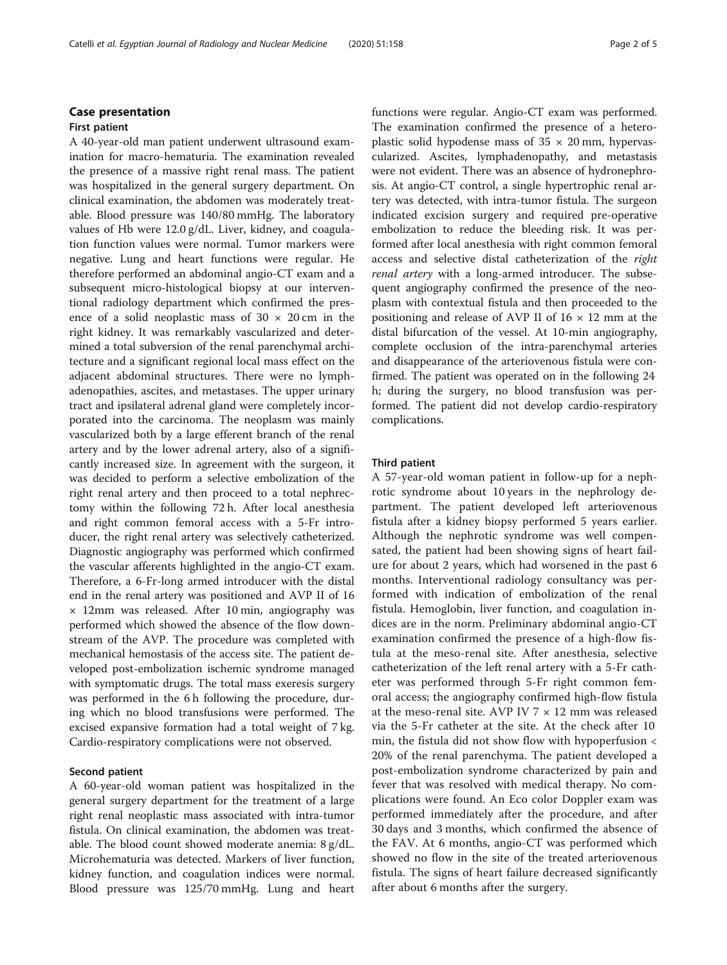## First patient

A 40-year-old man patient underwent ultrasound examination for macro-hematuria. The examination revealed the presence of a massive right renal mass. The patient was hospitalized in the general surgery department. On clinical examination, the abdomen was moderately treatable. Blood pressure was 140/80 mmHg. The laboratory values of Hb were 12.0 g/dL. Liver, kidney, and coagulation function values were normal. Tumor markers were negative. Lung and heart functions were regular. He therefore performed an abdominal angio-CT exam and a subsequent micro-histological biopsy at our interventional radiology department which confirmed the presence of a solid neoplastic mass of  $30 \times 20$  cm in the right kidney. It was remarkably vascularized and determined a total subversion of the renal parenchymal architecture and a significant regional local mass effect on the adjacent abdominal structures. There were no lymphadenopathies, ascites, and metastases. The upper urinary tract and ipsilateral adrenal gland were completely incorporated into the carcinoma. The neoplasm was mainly vascularized both by a large efferent branch of the renal artery and by the lower adrenal artery, also of a significantly increased size. In agreement with the surgeon, it was decided to perform a selective embolization of the right renal artery and then proceed to a total nephrectomy within the following 72 h. After local anesthesia and right common femoral access with a 5-Fr introducer, the right renal artery was selectively catheterized. Diagnostic angiography was performed which confirmed the vascular afferents highlighted in the angio-CT exam. Therefore, a 6-Fr-long armed introducer with the distal end in the renal artery was positioned and AVP II of 16 × 12mm was released. After 10 min, angiography was performed which showed the absence of the flow downstream of the AVP. The procedure was completed with mechanical hemostasis of the access site. The patient developed post-embolization ischemic syndrome managed with symptomatic drugs. The total mass exeresis surgery was performed in the 6 h following the procedure, during which no blood transfusions were performed. The excised expansive formation had a total weight of 7 kg. Cardio-respiratory complications were not observed.

# Second patient

A 60-year-old woman patient was hospitalized in the general surgery department for the treatment of a large right renal neoplastic mass associated with intra-tumor fistula. On clinical examination, the abdomen was treatable. The blood count showed moderate anemia: 8 g/dL. Microhematuria was detected. Markers of liver function, kidney function, and coagulation indices were normal. Blood pressure was 125/70 mmHg. Lung and heart functions were regular. Angio-CT exam was performed. The examination confirmed the presence of a heteroplastic solid hypodense mass of  $35 \times 20$  mm, hypervascularized. Ascites, lymphadenopathy, and metastasis were not evident. There was an absence of hydronephrosis. At angio-CT control, a single hypertrophic renal artery was detected, with intra-tumor fistula. The surgeon indicated excision surgery and required pre-operative embolization to reduce the bleeding risk. It was performed after local anesthesia with right common femoral access and selective distal catheterization of the right renal artery with a long-armed introducer. The subsequent angiography confirmed the presence of the neoplasm with contextual fistula and then proceeded to the positioning and release of AVP II of  $16 \times 12$  mm at the distal bifurcation of the vessel. At 10-min angiography, complete occlusion of the intra-parenchymal arteries and disappearance of the arteriovenous fistula were confirmed. The patient was operated on in the following 24 h; during the surgery, no blood transfusion was performed. The patient did not develop cardio-respiratory complications.

## Third patient

A 57-year-old woman patient in follow-up for a nephrotic syndrome about 10 years in the nephrology department. The patient developed left arteriovenous fistula after a kidney biopsy performed 5 years earlier. Although the nephrotic syndrome was well compensated, the patient had been showing signs of heart failure for about 2 years, which had worsened in the past 6 months. Interventional radiology consultancy was performed with indication of embolization of the renal fistula. Hemoglobin, liver function, and coagulation indices are in the norm. Preliminary abdominal angio-CT examination confirmed the presence of a high-flow fistula at the meso-renal site. After anesthesia, selective catheterization of the left renal artery with a 5-Fr catheter was performed through 5-Fr right common femoral access; the angiography confirmed high-flow fistula at the meso-renal site. AVP IV  $7 \times 12$  mm was released via the 5-Fr catheter at the site. At the check after 10 min, the fistula did not show flow with hypoperfusion < 20% of the renal parenchyma. The patient developed a post-embolization syndrome characterized by pain and fever that was resolved with medical therapy. No complications were found. An Eco color Doppler exam was performed immediately after the procedure, and after 30 days and 3 months, which confirmed the absence of the FAV. At 6 months, angio-CT was performed which showed no flow in the site of the treated arteriovenous fistula. The signs of heart failure decreased significantly after about 6 months after the surgery.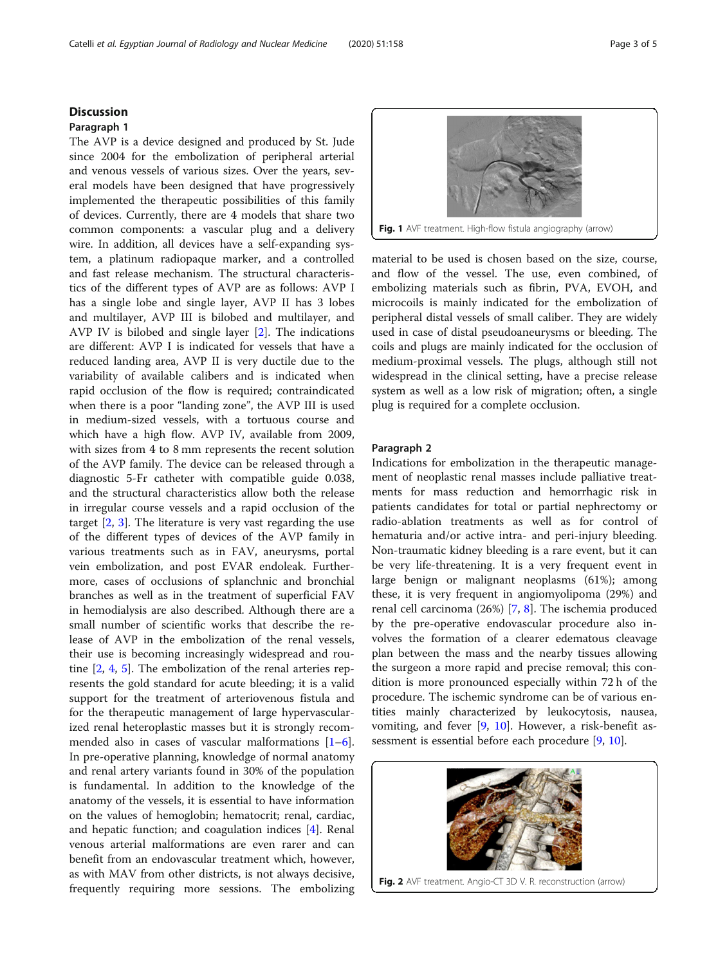# <span id="page-2-0"></span>**Discussion**

# Paragraph 1

The AVP is a device designed and produced by St. Jude since 2004 for the embolization of peripheral arterial and venous vessels of various sizes. Over the years, several models have been designed that have progressively implemented the therapeutic possibilities of this family of devices. Currently, there are 4 models that share two common components: a vascular plug and a delivery wire. In addition, all devices have a self-expanding system, a platinum radiopaque marker, and a controlled and fast release mechanism. The structural characteristics of the different types of AVP are as follows: AVP I has a single lobe and single layer, AVP II has 3 lobes and multilayer, AVP III is bilobed and multilayer, and AVP IV is bilobed and single layer [\[2](#page-4-0)]. The indications are different: AVP I is indicated for vessels that have a reduced landing area, AVP II is very ductile due to the variability of available calibers and is indicated when rapid occlusion of the flow is required; contraindicated when there is a poor "landing zone", the AVP III is used in medium-sized vessels, with a tortuous course and which have a high flow. AVP IV, available from 2009, with sizes from 4 to 8 mm represents the recent solution of the AVP family. The device can be released through a diagnostic 5-Fr catheter with compatible guide 0.038, and the structural characteristics allow both the release in irregular course vessels and a rapid occlusion of the target [[2,](#page-4-0) [3\]](#page-4-0). The literature is very vast regarding the use of the different types of devices of the AVP family in various treatments such as in FAV, aneurysms, portal vein embolization, and post EVAR endoleak. Furthermore, cases of occlusions of splanchnic and bronchial branches as well as in the treatment of superficial FAV in hemodialysis are also described. Although there are a small number of scientific works that describe the release of AVP in the embolization of the renal vessels, their use is becoming increasingly widespread and routine [[2,](#page-4-0) [4](#page-4-0), [5](#page-4-0)]. The embolization of the renal arteries represents the gold standard for acute bleeding; it is a valid support for the treatment of arteriovenous fistula and for the therapeutic management of large hypervascularized renal heteroplastic masses but it is strongly recommended also in cases of vascular malformations  $[1-6]$  $[1-6]$  $[1-6]$  $[1-6]$ . In pre-operative planning, knowledge of normal anatomy and renal artery variants found in 30% of the population is fundamental. In addition to the knowledge of the anatomy of the vessels, it is essential to have information on the values of hemoglobin; hematocrit; renal, cardiac, and hepatic function; and coagulation indices [[4\]](#page-4-0). Renal venous arterial malformations are even rarer and can benefit from an endovascular treatment which, however, as with MAV from other districts, is not always decisive, frequently requiring more sessions. The embolizing



material to be used is chosen based on the size, course, and flow of the vessel. The use, even combined, of embolizing materials such as fibrin, PVA, EVOH, and microcoils is mainly indicated for the embolization of peripheral distal vessels of small caliber. They are widely used in case of distal pseudoaneurysms or bleeding. The coils and plugs are mainly indicated for the occlusion of medium-proximal vessels. The plugs, although still not widespread in the clinical setting, have a precise release system as well as a low risk of migration; often, a single plug is required for a complete occlusion.

# Paragraph 2

Indications for embolization in the therapeutic management of neoplastic renal masses include palliative treatments for mass reduction and hemorrhagic risk in patients candidates for total or partial nephrectomy or radio-ablation treatments as well as for control of hematuria and/or active intra- and peri-injury bleeding. Non-traumatic kidney bleeding is a rare event, but it can be very life-threatening. It is a very frequent event in large benign or malignant neoplasms (61%); among these, it is very frequent in angiomyolipoma (29%) and renal cell carcinoma (26%) [\[7](#page-4-0), [8](#page-4-0)]. The ischemia produced by the pre-operative endovascular procedure also involves the formation of a clearer edematous cleavage plan between the mass and the nearby tissues allowing the surgeon a more rapid and precise removal; this condition is more pronounced especially within 72 h of the procedure. The ischemic syndrome can be of various entities mainly characterized by leukocytosis, nausea, vomiting, and fever [[9,](#page-4-0) [10\]](#page-4-0). However, a risk-benefit assessment is essential before each procedure [[9,](#page-4-0) [10\]](#page-4-0).



Fig. 2 AVF treatment. Angio-CT 3D V. R. reconstruction (arrow)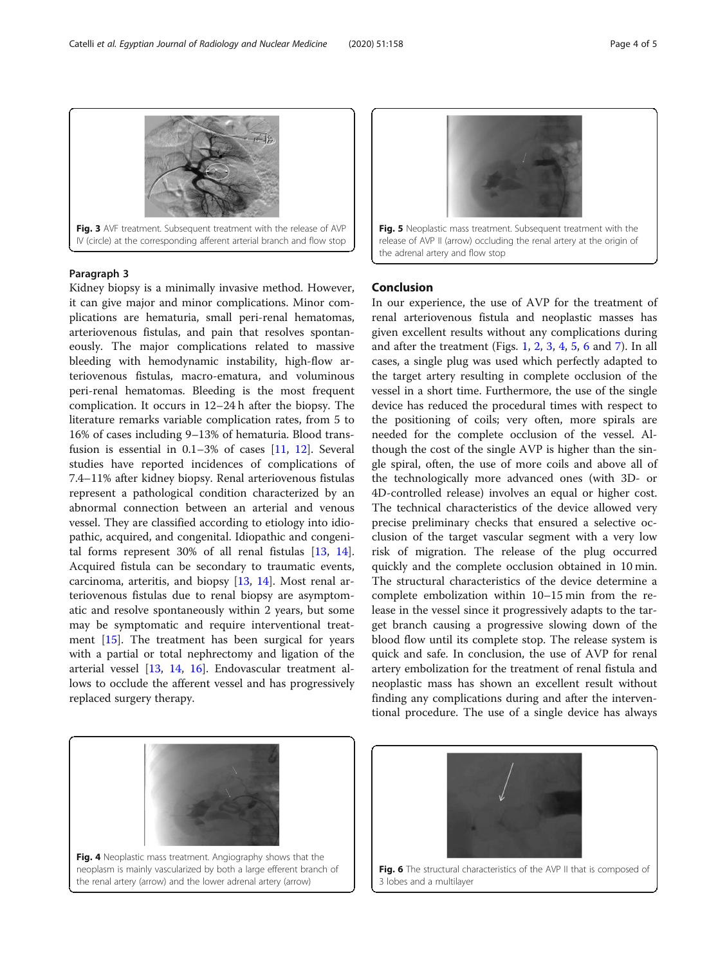Kidney biopsy is a minimally invasive method. However, it can give major and minor complications. Minor complications are hematuria, small peri-renal hematomas, arteriovenous fistulas, and pain that resolves spontaneously. The major complications related to massive bleeding with hemodynamic instability, high-flow arteriovenous fistulas, macro-ematura, and voluminous peri-renal hematomas. Bleeding is the most frequent complication. It occurs in 12–24 h after the biopsy. The literature remarks variable complication rates, from 5 to 16% of cases including 9–13% of hematuria. Blood transfusion is essential in  $0.1-3\%$  of cases [\[11,](#page-4-0) [12\]](#page-4-0). Several studies have reported incidences of complications of 7.4–11% after kidney biopsy. Renal arteriovenous fistulas represent a pathological condition characterized by an abnormal connection between an arterial and venous vessel. They are classified according to etiology into idiopathic, acquired, and congenital. Idiopathic and congenital forms represent 30% of all renal fistulas [\[13,](#page-4-0) [14](#page-4-0)]. Acquired fistula can be secondary to traumatic events, carcinoma, arteritis, and biopsy [[13,](#page-4-0) [14](#page-4-0)]. Most renal arteriovenous fistulas due to renal biopsy are asymptomatic and resolve spontaneously within 2 years, but some may be symptomatic and require interventional treatment [\[15](#page-4-0)]. The treatment has been surgical for years with a partial or total nephrectomy and ligation of the arterial vessel [[13,](#page-4-0) [14,](#page-4-0) [16\]](#page-4-0). Endovascular treatment allows to occlude the afferent vessel and has progressively replaced surgery therapy.

Conclusion

the adrenal artery and flow stop

In our experience, the use of AVP for the treatment of renal arteriovenous fistula and neoplastic masses has given excellent results without any complications during and after the treatment (Figs. [1,](#page-2-0) [2,](#page-2-0) 3, 4, 5, 6 and [7\)](#page-4-0). In all cases, a single plug was used which perfectly adapted to the target artery resulting in complete occlusion of the vessel in a short time. Furthermore, the use of the single device has reduced the procedural times with respect to the positioning of coils; very often, more spirals are needed for the complete occlusion of the vessel. Although the cost of the single AVP is higher than the single spiral, often, the use of more coils and above all of the technologically more advanced ones (with 3D- or 4D-controlled release) involves an equal or higher cost. The technical characteristics of the device allowed very precise preliminary checks that ensured a selective occlusion of the target vascular segment with a very low risk of migration. The release of the plug occurred quickly and the complete occlusion obtained in 10 min. The structural characteristics of the device determine a complete embolization within 10–15 min from the release in the vessel since it progressively adapts to the target branch causing a progressive slowing down of the blood flow until its complete stop. The release system is quick and safe. In conclusion, the use of AVP for renal artery embolization for the treatment of renal fistula and neoplastic mass has shown an excellent result without finding any complications during and after the interventional procedure. The use of a single device has always

Fig. 5 Neoplastic mass treatment. Subsequent treatment with the release of AVP II (arrow) occluding the renal artery at the origin of



# Paragraph 3